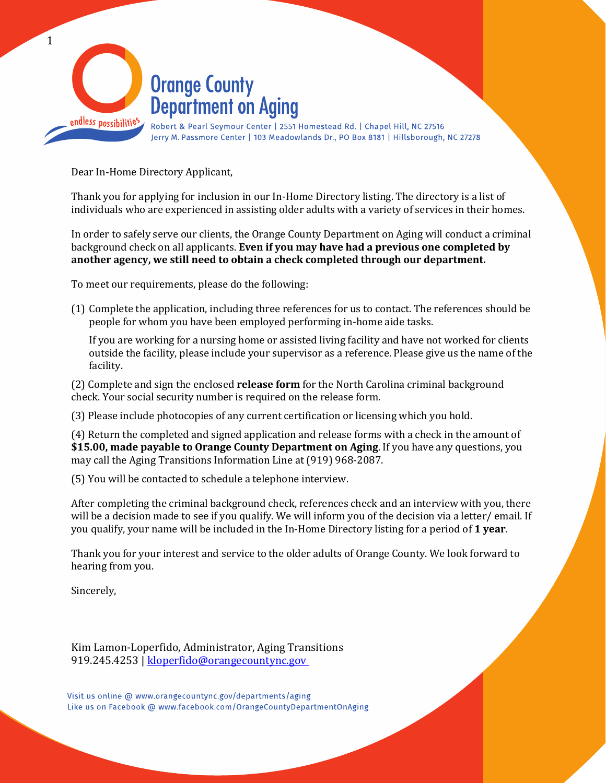

Dear In-Home Directory Applicant,

Thank you for applying for inclusion in our In-Home Directory listing. The directory is a list of individuals who are experienced in assisting older adults with a variety of services in their homes.

In order to safely serve our clients, the Orange County Department on Aging will conduct a criminal background check on all applicants. **Even if you may have had a previous one completed by another agency, we still need to obtain a check completed through our department.** 

To meet our requirements, please do the following:

(1) Complete the application, including three references for us to contact. The references should be people for whom you have been employed performing in-home aide tasks.

If you are working for a nursing home or assisted living facility and have not worked for clients outside the facility, please include your supervisor as a reference. Please give us the name of the facility.

(2) Complete and sign the enclosed **release form** for the North Carolina criminal background check. Your social security number is required on the release form.

(3) Please include photocopies of any current certification or licensing which you hold.

(4) Return the completed and signed application and release forms with a check in the amount of **\$15.00, made payable to Orange County Department on Aging**. If you have any questions, you may call the Aging Transitions Information Line at (919) 968-2087.

(5) You will be contacted to schedule a telephone interview.

After completing the criminal background check, references check and an interview with you, there will be a decision made to see if you qualify. We will inform you of the decision via a letter/ email. If you qualify, your name will be included in the In-Home Directory listing for a period of **1 year**.

Thank you for your interest and service to the older adults of Orange County. We look forward to hearing from you.

Sincerely,

Kim Lamon-Loperfido, Administrator, Aging Transitions 919.245.4253 | [kloperfido@orangecountync.gov](file://monarch/Depts_AH/AGING/Aging%20Transitions/In-Home%20Directory%20forms/In-Home%20Letter%20template/kloperfido@orangecountync.gov%20%20) 

Visit us online @ www.orangecountync.gov/departments/aging Like us on Facebook @ www.facebook.com/OrangeCountyDepartmentOnAging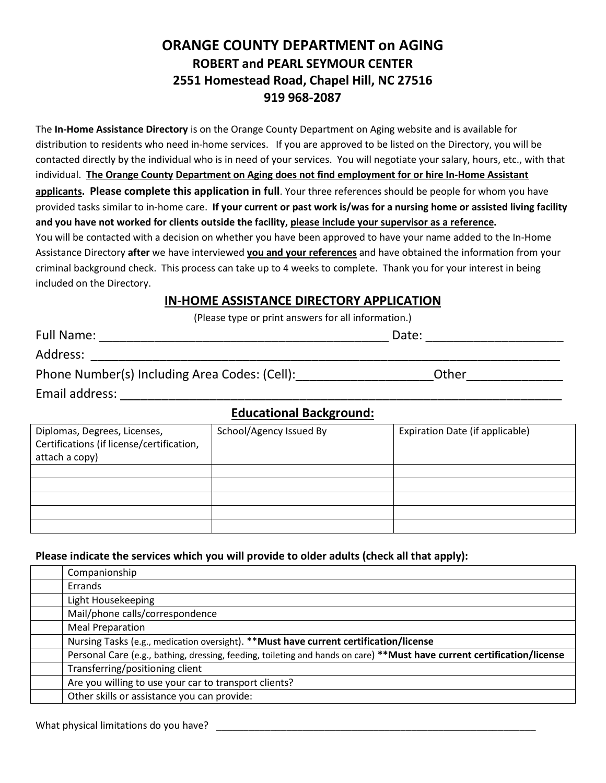## **ORANGE COUNTY DEPARTMENT on AGING ROBERT and PEARL SEYMOUR CENTER 2551 Homestead Road, Chapel Hill, NC 27516 919 968-2087**

The **In-Home Assistance Directory** is on the Orange County Department on Aging website and is available for distribution to residents who need in-home services. If you are approved to be listed on the Directory, you will be contacted directly by the individual who is in need of your services. You will negotiate your salary, hours, etc., with that individual. **The Orange County Department on Aging does not find employment for or hire In-Home Assistant applicants. Please complete this application in full**. Your three references should be people for whom you have provided tasks similar to in-home care. **If your current or past work is/was for a nursing home or assisted living facility and you have not worked for clients outside the facility, please include your supervisor as a reference.**  You will be contacted with a decision on whether you have been approved to have your name added to the In-Home Assistance Directory **after** we have interviewed **you and your references** and have obtained the information from your criminal background check. This process can take up to 4 weeks to complete. Thank you for your interest in being included on the Directory.

#### **IN-HOME ASSISTANCE DIRECTORY APPLICATION**

(Please type or print answers for all information.)

| <b>Full Name:</b>                             | Date: |  |
|-----------------------------------------------|-------|--|
| Address:                                      |       |  |
| Phone Number(s) Including Area Codes: (Cell): | Other |  |

Email address: **Email address**: **Email address** 

# **Educational Background:**

| Diplomas, Degrees, Licenses,<br>Certifications (if license/certification,<br>attach a copy) | School/Agency Issued By | Expiration Date (if applicable) |
|---------------------------------------------------------------------------------------------|-------------------------|---------------------------------|
|                                                                                             |                         |                                 |
|                                                                                             |                         |                                 |
|                                                                                             |                         |                                 |
|                                                                                             |                         |                                 |
|                                                                                             |                         |                                 |
|                                                                                             |                         |                                 |

#### **Please indicate the services which you will provide to older adults (check all that apply):**

| Companionship                                                                                                           |
|-------------------------------------------------------------------------------------------------------------------------|
| Errands                                                                                                                 |
| Light Housekeeping                                                                                                      |
| Mail/phone calls/correspondence                                                                                         |
| <b>Meal Preparation</b>                                                                                                 |
| Nursing Tasks (e.g., medication oversight). **Must have current certification/license                                   |
| Personal Care (e.g., bathing, dressing, feeding, toileting and hands on care) **Must have current certification/license |
| Transferring/positioning client                                                                                         |
| Are you willing to use your car to transport clients?                                                                   |
| Other skills or assistance you can provide:                                                                             |

What physical limitations do you have?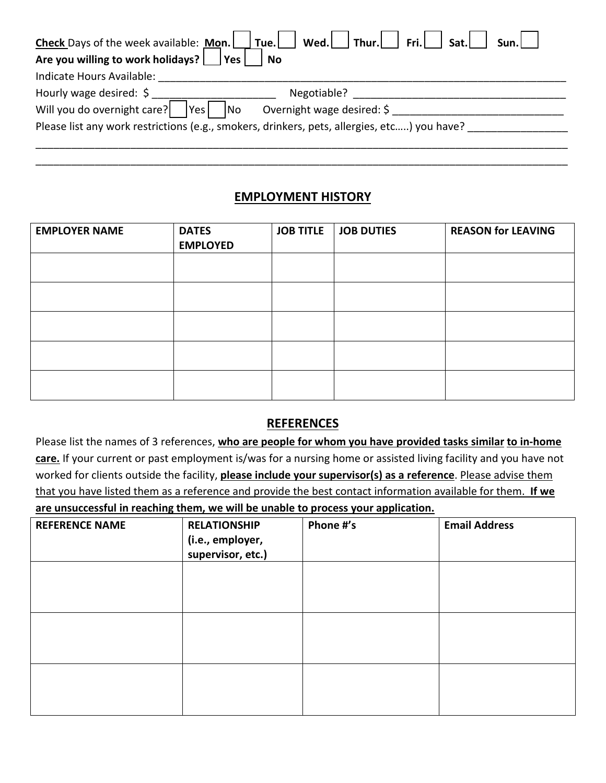| Check Days of the week available: Mon.     Tue.     Wed.   Thur.   Fri.   Sat.  <br>Sun.l   |  |  |  |
|---------------------------------------------------------------------------------------------|--|--|--|
| Are you willing to work holidays?<br>l Yes<br><b>No</b>                                     |  |  |  |
| Indicate Hours Available:                                                                   |  |  |  |
| Hourly wage desired: \$<br>Negotiable?                                                      |  |  |  |
| Will you do overnight care?<br> Yes <br>No<br>Overnight wage desired: \$                    |  |  |  |
| Please list any work restrictions (e.g., smokers, drinkers, pets, allergies, etc) you have? |  |  |  |
|                                                                                             |  |  |  |

## **EMPLOYMENT HISTORY**

\_\_\_\_\_\_\_\_\_\_\_\_\_\_\_\_\_\_\_\_\_\_\_\_\_\_\_\_\_\_\_\_\_\_\_\_\_\_\_\_\_\_\_\_\_\_\_\_\_\_\_\_\_\_\_\_\_\_\_\_\_\_\_\_\_\_\_\_\_\_\_\_\_\_\_\_\_\_\_\_\_\_\_\_\_\_\_\_\_\_

| <b>EMPLOYER NAME</b> | <b>DATES</b><br><b>EMPLOYED</b> | <b>JOB TITLE</b> | <b>JOB DUTIES</b> | <b>REASON for LEAVING</b> |
|----------------------|---------------------------------|------------------|-------------------|---------------------------|
|                      |                                 |                  |                   |                           |
|                      |                                 |                  |                   |                           |
|                      |                                 |                  |                   |                           |
|                      |                                 |                  |                   |                           |
|                      |                                 |                  |                   |                           |

## **REFERENCES**

Please list the names of 3 references, **who are people for whom you have provided tasks similar to in-home care.** If your current or past employment is/was for a nursing home or assisted living facility and you have not worked for clients outside the facility, **please include your supervisor(s) as a reference**. Please advise them that you have listed them as a reference and provide the best contact information available for them. **If we are unsuccessful in reaching them, we will be unable to process your application.**

| <b>REFERENCE NAME</b> | <b>RELATIONSHIP</b><br>(i.e., employer,<br>supervisor, etc.) | Phone #'s | <b>Email Address</b> |
|-----------------------|--------------------------------------------------------------|-----------|----------------------|
|                       |                                                              |           |                      |
|                       |                                                              |           |                      |
|                       |                                                              |           |                      |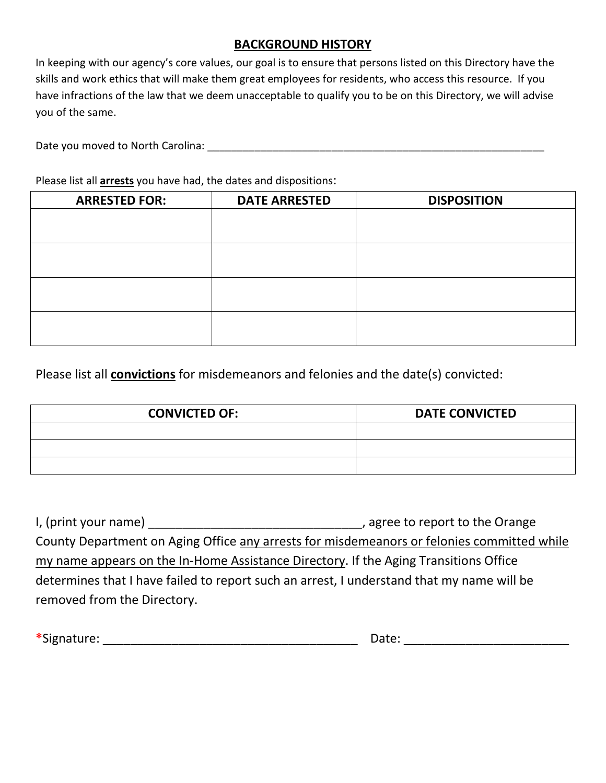### **BACKGROUND HISTORY**

In keeping with our agency's core values, our goal is to ensure that persons listed on this Directory have the skills and work ethics that will make them great employees for residents, who access this resource. If you have infractions of the law that we deem unacceptable to qualify you to be on this Directory, we will advise you of the same.

Date you moved to North Carolina: \_\_\_\_\_\_\_\_\_\_\_\_\_\_\_\_\_\_\_\_\_\_\_\_\_\_\_\_\_\_\_\_\_\_\_\_\_\_\_\_\_\_\_\_\_\_\_\_\_\_\_\_\_\_\_\_\_

Please list all **arrests** you have had, the dates and dispositions:

| <b>ARRESTED FOR:</b> | <b>DATE ARRESTED</b> | <b>DISPOSITION</b> |
|----------------------|----------------------|--------------------|
|                      |                      |                    |
|                      |                      |                    |
|                      |                      |                    |
|                      |                      |                    |
|                      |                      |                    |
|                      |                      |                    |
|                      |                      |                    |
|                      |                      |                    |

Please list all **convictions** for misdemeanors and felonies and the date(s) convicted:

| <b>CONVICTED OF:</b> | <b>DATE CONVICTED</b> |
|----------------------|-----------------------|
|                      |                       |
|                      |                       |
|                      |                       |

| I, (print your name)                                                                       | , agree to report to the Orange |
|--------------------------------------------------------------------------------------------|---------------------------------|
| County Department on Aging Office any arrests for misdemeanors or felonies committed while |                                 |
| my name appears on the In-Home Assistance Directory. If the Aging Transitions Office       |                                 |
| determines that I have failed to report such an arrest, I understand that my name will be  |                                 |
| removed from the Directory.                                                                |                                 |

| * *<br>טור<br>,,,,,,,,,<br>. . | Jalt<br>- - - - - |
|--------------------------------|-------------------|
|--------------------------------|-------------------|